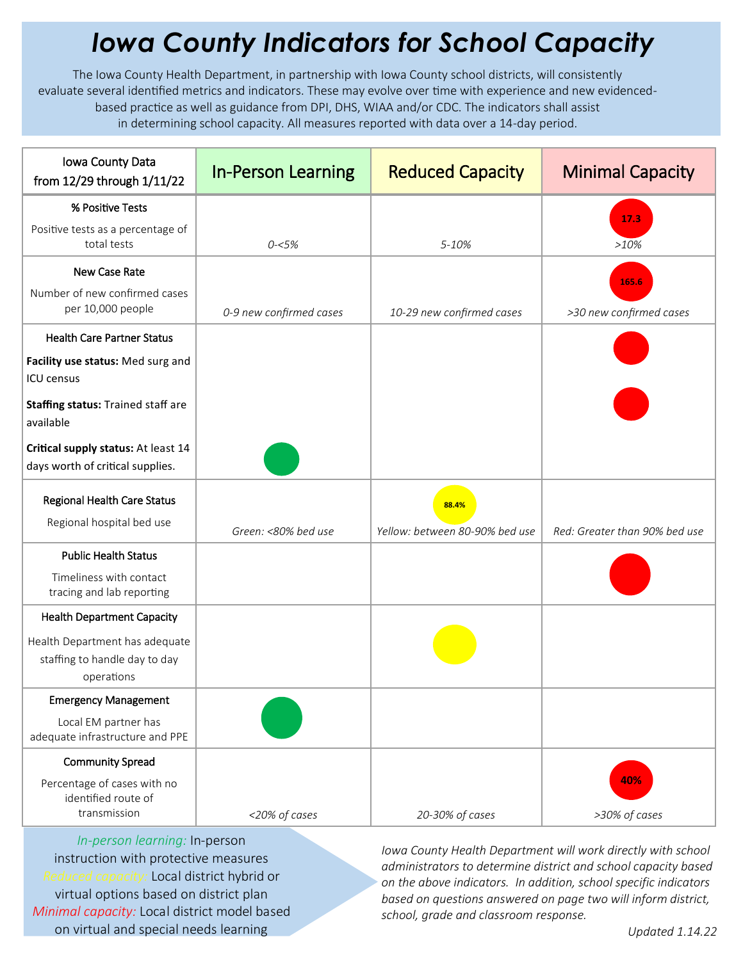## *Iowa County Indicators for School Capacity*

The Iowa County Health Department, in partnership with Iowa County school districts, will consistently evaluate several identified metrics and indicators. These may evolve over time with experience and new evidencedbased practice as well as guidance from DPI, DHS, WIAA and/or CDC. The indicators shall assist in determining school capacity. All measures reported with data over a 14-day period.

| Iowa County Data<br>from 12/29 through 1/11/22                                      | <b>In-Person Learning</b> | <b>Reduced Capacity</b>                 | <b>Minimal Capacity</b>       |
|-------------------------------------------------------------------------------------|---------------------------|-----------------------------------------|-------------------------------|
| % Positive Tests                                                                    |                           |                                         |                               |
| Positive tests as a percentage of<br>total tests                                    | $0 - 5%$                  | 5-10%                                   | 17.3<br>$>10\%$               |
| New Case Rate                                                                       |                           |                                         | 165.6                         |
| Number of new confirmed cases<br>per 10,000 people                                  | 0-9 new confirmed cases   | 10-29 new confirmed cases               | >30 new confirmed cases       |
| <b>Health Care Partner Status</b>                                                   |                           |                                         |                               |
| Facility use status: Med surg and<br><b>ICU</b> census                              |                           |                                         |                               |
| Staffing status: Trained staff are<br>available                                     |                           |                                         |                               |
| Critical supply status: At least 14<br>days worth of critical supplies.             |                           |                                         |                               |
| Regional Health Care Status<br>Regional hospital bed use                            | Green: <80% bed use       | 88.4%<br>Yellow: between 80-90% bed use | Red: Greater than 90% bed use |
| <b>Public Health Status</b><br>Timeliness with contact<br>tracing and lab reporting |                           |                                         |                               |
| <b>Health Department Capacity</b>                                                   |                           |                                         |                               |
| Health Department has adequate<br>staffing to handle day to day<br>operations       |                           |                                         |                               |
| <b>Emergency Management</b>                                                         |                           |                                         |                               |
| Local EM partner has<br>adequate infrastructure and PPE                             |                           |                                         |                               |
| <b>Community Spread</b>                                                             |                           |                                         |                               |
| Percentage of cases with no<br>identified route of<br>transmission                  | <20% of cases             | 20-30% of cases                         | 40%<br>>30% of cases          |

*In-person learning:* In-person instruction with protective measures *Reduced capacity:* Local district hybrid or virtual options based on district plan *Minimal capacity:* Local district model based on virtual and special needs learning

*Iowa County Health Department will work directly with school administrators to determine district and school capacity based on the above indicators. In addition, school specific indicators based on questions answered on page two will inform district, school, grade and classroom response.*